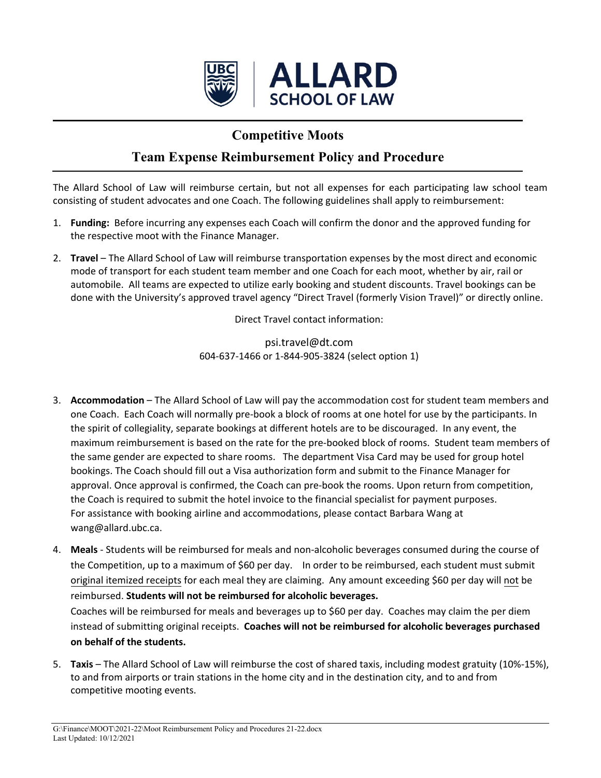

## **Competitive Moots**

## **Team Expense Reimbursement Policy and Procedure**

The Allard School of Law will reimburse certain, but not all expenses for each participating law school team consisting of student advocates and one Coach. The following guidelines shall apply to reimbursement:

- 1. **Funding:** Before incurring any expenses each Coach will confirm the donor and the approved funding for the respective moot with the Finance Manager.
- 2. **Travel** The Allard School of Law will reimburse transportation expenses by the most direct and economic mode of transport for each student team member and one Coach for each moot, whether by air, rail or automobile. All teams are expected to utilize early booking and student discounts. Travel bookings can be done with the University's approved travel agency "Direct Travel (formerly Vision Travel)" or directly online.

Direct Travel contact information:

psi.travel@dt.com 604‐637‐1466 or 1‐844‐905‐3824 (select option 1)

- 3. **Accommodation** The Allard School of Law will pay the accommodation cost for student team members and one Coach. Each Coach will normally pre‐book a block of rooms at one hotel for use by the participants. In the spirit of collegiality, separate bookings at different hotels are to be discouraged. In any event, the maximum reimbursement is based on the rate for the pre‐booked block of rooms. Student team members of the same gender are expected to share rooms. The department Visa Card may be used for group hotel bookings. The Coach should fill out a Visa authorization form and submit to the Finance Manager for approval. Once approval is confirmed, the Coach can pre‐book the rooms. Upon return from competition, the Coach is required to submit the hotel invoice to the financial specialist for payment purposes. For assistance with booking airline and accommodations, please contact Barbara Wang at wang@allard.ubc.ca.
- 4. **Meals** ‐ Students will be reimbursed for meals and non‐alcoholic beverages consumed during the course of the Competition, up to a maximum of \$60 per day. In order to be reimbursed, each student must submit original itemized receipts for each meal they are claiming. Any amount exceeding \$60 per day will not be reimbursed. **Students will not be reimbursed for alcoholic beverages.** Coaches will be reimbursed for meals and beverages up to \$60 per day. Coaches may claim the per diem instead of submitting original receipts. **Coaches will not be reimbursed for alcoholic beverages purchased on behalf of the students.**
- 5. **Taxis** The Allard School of Law will reimburse the cost of shared taxis, including modest gratuity (10%‐15%), to and from airports or train stations in the home city and in the destination city, and to and from competitive mooting events.